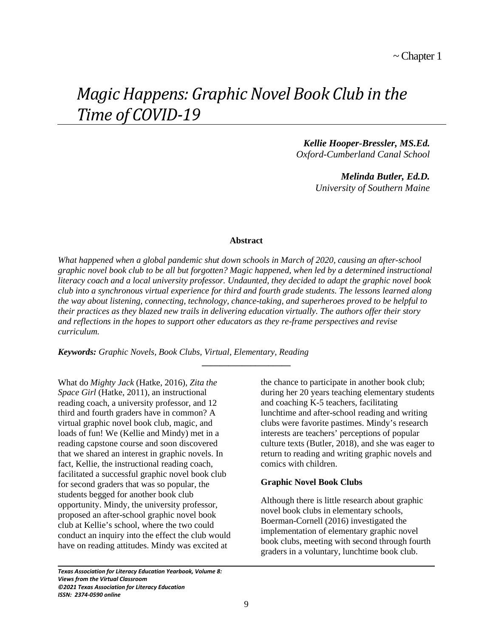# *Magic Happens: Graphic Novel Book Club in the Time of COVID-19*

*Kellie Hooper-Bressler, MS.Ed. Oxford-Cumberland Canal School* 

> *Melinda Butler, Ed.D. University of Southern Maine*

#### **Abstract**

*What happened when a global pandemic shut down schools in March of 2020, causing an after-school graphic novel book club to be all but forgotten? Magic happened, when led by a determined instructional literacy coach and a local university professor. Undaunted, they decided to adapt the graphic novel book club into a synchronous virtual experience for third and fourth grade students. The lessons learned along the way about listening, connecting, technology, chance-taking, and superheroes proved to be helpful to their practices as they blazed new trails in delivering education virtually. The authors offer their story and reflections in the hopes to support other educators as they re-frame perspectives and revise curriculum.*

**\_\_\_\_\_\_\_\_\_\_\_\_\_\_\_\_\_\_\_\_** 

*Keywords: Graphic Novels, Book Clubs, Virtual, Elementary, Reading* 

What do *Mighty Jack* (Hatke, 2016), *Zita the Space Girl* (Hatke, 2011), an instructional reading coach, a university professor, and 12 third and fourth graders have in common? A virtual graphic novel book club, magic, and loads of fun! We (Kellie and Mindy) met in a reading capstone course and soon discovered that we shared an interest in graphic novels. In fact, Kellie, the instructional reading coach, facilitated a successful graphic novel book club for second graders that was so popular, the students begged for another book club opportunity. Mindy, the university professor, proposed an after-school graphic novel book club at Kellie's school, where the two could conduct an inquiry into the effect the club would have on reading attitudes. Mindy was excited at

the chance to participate in another book club; during her 20 years teaching elementary students and coaching K-5 teachers, facilitating lunchtime and after-school reading and writing clubs were favorite pastimes. Mindy's research interests are teachers' perceptions of popular culture texts (Butler, 2018), and she was eager to return to reading and writing graphic novels and comics with children.

## **Graphic Novel Book Clubs**

Although there is little research about graphic novel book clubs in elementary schools, Boerman-Cornell (2016) investigated the implementation of elementary graphic novel book clubs, meeting with second through fourth graders in a voluntary, lunchtime book club.

*Texas Association for Literacy Education Yearbook, Volume 8: Views from the Virtual Classroom ©2021 Texas Association for Literacy Education ISSN: 2374-0590 online*

L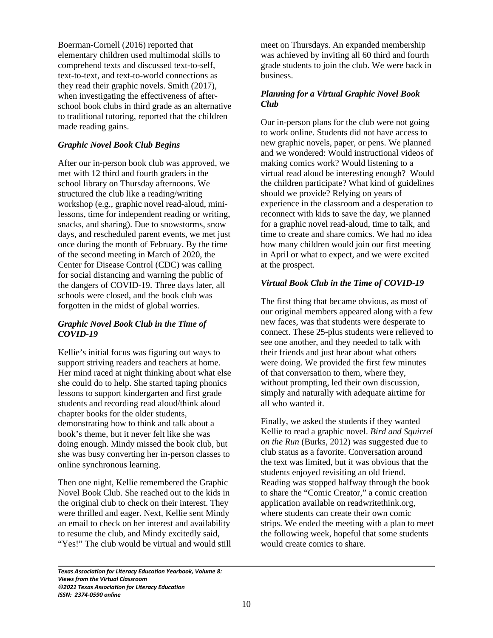Boerman-Cornell (2016) reported that elementary children used multimodal skills to comprehend texts and discussed text-to-self, text-to-text, and text-to-world connections as they read their graphic novels. Smith (2017), when investigating the effectiveness of afterschool book clubs in third grade as an alternative to traditional tutoring, reported that the children made reading gains.

## *Graphic Novel Book Club Begins*

After our in-person book club was approved, we met with 12 third and fourth graders in the school library on Thursday afternoons. We structured the club like a reading/writing workshop (e.g., graphic novel read-aloud, minilessons, time for independent reading or writing, snacks, and sharing). Due to snowstorms, snow days, and rescheduled parent events, we met just once during the month of February. By the time of the second meeting in March of 2020, the Center for Disease Control (CDC) was calling for social distancing and warning the public of the dangers of COVID-19. Three days later, all schools were closed, and the book club was forgotten in the midst of global worries.

## *Graphic Novel Book Club in the Time of COVID-19*

Kellie's initial focus was figuring out ways to support striving readers and teachers at home. Her mind raced at night thinking about what else she could do to help. She started taping phonics lessons to support kindergarten and first grade students and recording read aloud/think aloud chapter books for the older students, demonstrating how to think and talk about a book's theme, but it never felt like she was doing enough. Mindy missed the book club, but she was busy converting her in-person classes to online synchronous learning.

Then one night, Kellie remembered the Graphic Novel Book Club. She reached out to the kids in the original club to check on their interest. They were thrilled and eager. Next, Kellie sent Mindy an email to check on her interest and availability to resume the club, and Mindy excitedly said, "Yes!" The club would be virtual and would still

meet on Thursdays. An expanded membership was achieved by inviting all 60 third and fourth grade students to join the club. We were back in business.

# *Planning for a Virtual Graphic Novel Book Club*

Our in-person plans for the club were not going to work online. Students did not have access to new graphic novels, paper, or pens. We planned and we wondered: Would instructional videos of making comics work? Would listening to a virtual read aloud be interesting enough? Would the children participate? What kind of guidelines should we provide? Relying on years of experience in the classroom and a desperation to reconnect with kids to save the day, we planned for a graphic novel read-aloud, time to talk, and time to create and share comics. We had no idea how many children would join our first meeting in April or what to expect, and we were excited at the prospect.

## *Virtual Book Club in the Time of COVID-19*

The first thing that became obvious, as most of our original members appeared along with a few new faces, was that students were desperate to connect. These 25-plus students were relieved to see one another, and they needed to talk with their friends and just hear about what others were doing. We provided the first few minutes of that conversation to them, where they, without prompting, led their own discussion, simply and naturally with adequate airtime for all who wanted it.

Finally, we asked the students if they wanted Kellie to read a graphic novel. *Bird and Squirrel on the Run* (Burks, 2012) was suggested due to club status as a favorite. Conversation around the text was limited, but it was obvious that the students enjoyed revisiting an old friend. Reading was stopped halfway through the book to share the "Comic Creator," a comic creation application available on readwritethink.org, where students can create their own comic strips. We ended the meeting with a plan to meet the following week, hopeful that some students would create comics to share.

L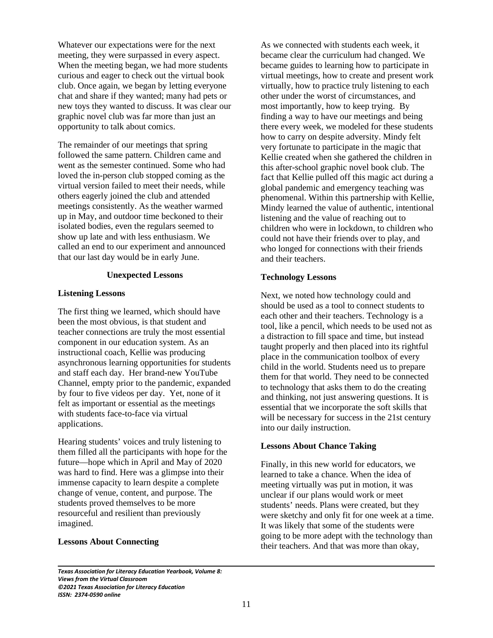Whatever our expectations were for the next meeting, they were surpassed in every aspect. When the meeting began, we had more students curious and eager to check out the virtual book club. Once again, we began by letting everyone chat and share if they wanted; many had pets or new toys they wanted to discuss. It was clear our graphic novel club was far more than just an opportunity to talk about comics.

The remainder of our meetings that spring followed the same pattern. Children came and went as the semester continued. Some who had loved the in-person club stopped coming as the virtual version failed to meet their needs, while others eagerly joined the club and attended meetings consistently. As the weather warmed up in May, and outdoor time beckoned to their isolated bodies, even the regulars seemed to show up late and with less enthusiasm. We called an end to our experiment and announced that our last day would be in early June.

## **Unexpected Lessons**

#### **Listening Lessons**

The first thing we learned, which should have been the most obvious, is that student and teacher connections are truly the most essential component in our education system. As an instructional coach, Kellie was producing asynchronous learning opportunities for students and staff each day. Her brand-new YouTube Channel, empty prior to the pandemic, expanded by four to five videos per day. Yet, none of it felt as important or essential as the meetings with students face-to-face via virtual applications.

Hearing students' voices and truly listening to them filled all the participants with hope for the future—hope which in April and May of 2020 was hard to find. Here was a glimpse into their immense capacity to learn despite a complete change of venue, content, and purpose. The students proved themselves to be more resourceful and resilient than previously imagined.

#### **Lessons About Connecting**

L

As we connected with students each week, it became clear the curriculum had changed. We became guides to learning how to participate in virtual meetings, how to create and present work virtually, how to practice truly listening to each other under the worst of circumstances, and most importantly, how to keep trying. By finding a way to have our meetings and being there every week, we modeled for these students how to carry on despite adversity. Mindy felt very fortunate to participate in the magic that Kellie created when she gathered the children in this after-school graphic novel book club. The fact that Kellie pulled off this magic act during a global pandemic and emergency teaching was phenomenal. Within this partnership with Kellie, Mindy learned the value of authentic, intentional listening and the value of reaching out to children who were in lockdown, to children who could not have their friends over to play, and who longed for connections with their friends and their teachers.

## **Technology Lessons**

Next, we noted how technology could and should be used as a tool to connect students to each other and their teachers. Technology is a tool, like a pencil, which needs to be used not as a distraction to fill space and time, but instead taught properly and then placed into its rightful place in the communication toolbox of every child in the world. Students need us to prepare them for that world. They need to be connected to technology that asks them to do the creating and thinking, not just answering questions. It is essential that we incorporate the soft skills that will be necessary for success in the 21st century into our daily instruction.

## **Lessons About Chance Taking**

Finally, in this new world for educators, we learned to take a chance. When the idea of meeting virtually was put in motion, it was unclear if our plans would work or meet students' needs. Plans were created, but they were sketchy and only fit for one week at a time. It was likely that some of the students were going to be more adept with the technology than their teachers. And that was more than okay,